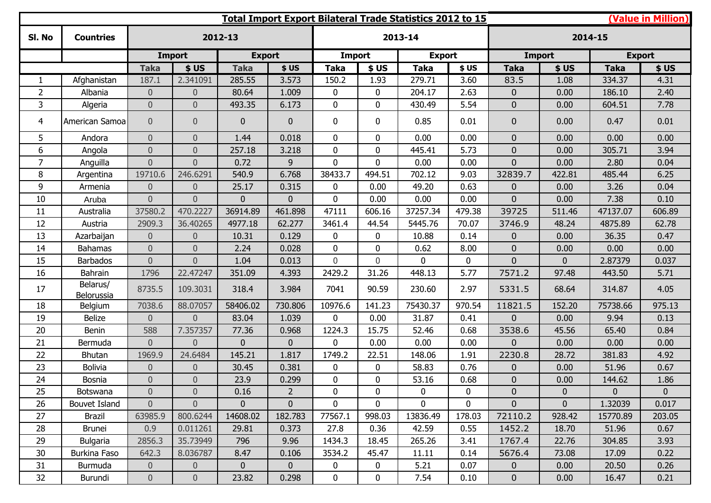| (Value in Million)<br>Total Import Export Bilateral Trade Statistics 2012 to 15 |                        |                  |                  |                |                |                |                |               |              |                |                |               |              |
|---------------------------------------------------------------------------------|------------------------|------------------|------------------|----------------|----------------|----------------|----------------|---------------|--------------|----------------|----------------|---------------|--------------|
| SI. No                                                                          | <b>Countries</b>       |                  |                  | 2012-13        |                |                |                | 2013-14       |              |                |                | 2014-15       |              |
|                                                                                 |                        |                  | <b>Import</b>    | <b>Export</b>  |                | Import         |                | <b>Export</b> |              |                | <b>Import</b>  | <b>Export</b> |              |
|                                                                                 |                        | <b>Taka</b>      | \$US             | <b>Taka</b>    | \$US           | Taka           | \$US           | <b>Taka</b>   | \$US         | <b>Taka</b>    | \$US           | <b>Taka</b>   | \$US         |
| 1                                                                               | Afghanistan            | 187.1            | 2.341091         | 285.55         | 3.573          | 150.2          | 1.93           | 279.71        | 3.60         | 83.5           | 1.08           | 334.37        | 4.31         |
| $\overline{2}$                                                                  | Albania                | $\overline{0}$   | $\theta$         | 80.64          | 1.009          | 0              | 0              | 204.17        | 2.63         | $\overline{0}$ | 0.00           | 186.10        | 2.40         |
| 3                                                                               | Algeria                | $\overline{0}$   | $\overline{0}$   | 493.35         | 6.173          | $\mathbf 0$    | 0              | 430.49        | 5.54         | $\mathbf 0$    | 0.00           | 604.51        | 7.78         |
| 4                                                                               | American Samoa         | $\overline{0}$   | $\theta$         | $\overline{0}$ | $\mathbf 0$    | 0              | 0              | 0.85          | 0.01         | $\mathbf{0}$   | 0.00           | 0.47          | 0.01         |
| 5                                                                               | Andora                 | $\overline{0}$   | $\overline{0}$   | 1.44           | 0.018          | $\mathbf 0$    | $\overline{0}$ | 0.00          | 0.00         | $\overline{0}$ | 0.00           | 0.00          | 0.00         |
| 6                                                                               | Angola                 | $\overline{0}$   | $\theta$         | 257.18         | 3.218          | $\mathbf 0$    | 0              | 445.41        | 5.73         | $\overline{0}$ | 0.00           | 305.71        | 3.94         |
| $\overline{7}$                                                                  | Anguilla               | $\overline{0}$   | $\overline{0}$   | 0.72           | 9              | $\overline{0}$ | $\overline{0}$ | 0.00          | 0.00         | $\Omega$       | 0.00           | 2.80          | 0.04         |
| 8                                                                               | Argentina              | 19710.6          | 246.6291         | 540.9          | 6.768          | 38433.7        | 494.51         | 702.12        | 9.03         | 32839.7        | 422.81         | 485.44        | 6.25         |
| 9                                                                               | Armenia                | $\overline{0}$   | $\theta$         | 25.17          | 0.315          | 0              | 0.00           | 49.20         | 0.63         | 0              | 0.00           | 3.26          | 0.04         |
| 10                                                                              | Aruba                  | $\overline{0}$   | $\overline{0}$   | $\overline{0}$ | $\mathbf{0}$   | $\mathbf 0$    | 0.00           | 0.00          | 0.00         | $\overline{0}$ | 0.00           | 7.38          | 0.10         |
| 11                                                                              | Australia              | 37580.2          | 470.2227         | 36914.89       | 461.898        | 47111          | 606.16         | 37257.34      | 479.38       | 39725          | 511.46         | 47137.07      | 606.89       |
| 12                                                                              | Austria                | 2909.3           | 36.40265         | 4977.18        | 62.277         | 3461.4         | 44.54          | 5445.76       | 70.07        | 3746.9         | 48.24          | 4875.89       | 62.78        |
| 13                                                                              | Azarbaijan             | $\overline{0}$   | $\theta$         | 10.31          | 0.129          | 0              | 0              | 10.88         | 0.14         | $\Omega$       | 0.00           | 36.35         | 0.47         |
| 14                                                                              | <b>Bahamas</b>         | $\mathbf 0$      | $\overline{0}$   | 2.24           | 0.028          | $\mathbf 0$    | $\Omega$       | 0.62          | 8.00         | $\overline{0}$ | 0.00           | 0.00          | 0.00         |
| 15                                                                              | <b>Barbados</b>        | $\overline{0}$   | $\overline{0}$   | 1.04           | 0.013          | $\overline{0}$ | $\Omega$       | $\Omega$      | $\mathbf{0}$ | 0              | $\mathbf{0}$   | 2.87379       | 0.037        |
| 16                                                                              | Bahrain                | 1796             | 22.47247         | 351.09         | 4.393          | 2429.2         | 31.26          | 448.13        | 5.77         | 7571.2         | 97.48          | 443.50        | 5.71         |
| 17                                                                              | Belarus/<br>Belorussia | 8735.5           | 109.3031         | 318.4          | 3.984          | 7041           | 90.59          | 230.60        | 2.97         | 5331.5         | 68.64          | 314.87        | 4.05         |
| 18                                                                              | Belgium                | 7038.6           | 88.07057         | 58406.02       | 730.806        | 10976.6        | 141.23         | 75430.37      | 970.54       | 11821.5        | 152.20         | 75738.66      | 975.13       |
| 19                                                                              | Belize                 | $\overline{0}$   | $\overline{0}$   | 83.04          | 1.039          | $\overline{0}$ | 0.00           | 31.87         | 0.41         | $\Omega$       | 0.00           | 9.94          | 0.13         |
| 20                                                                              | Benin                  | 588              | 7.357357         | 77.36          | 0.968          | 1224.3         | 15.75          | 52.46         | 0.68         | 3538.6         | 45.56          | 65.40         | 0.84         |
| 21                                                                              | Bermuda                | $\Omega$         | $\Omega$         | $\overline{0}$ | $\mathbf{0}$   | 0              | 0.00           | 0.00          | 0.00         | $\Omega$       | 0.00           | 0.00          | 0.00         |
| 22                                                                              | <b>Bhutan</b>          | 1969.9           | 24.6484          | 145.21         | 1.817          | 1749.2         | 22.51          | 148.06        | 1.91         | 2230.8         | 28.72          | 381.83        | 4.92         |
| 23                                                                              | <b>Bolivia</b>         | $\overline{0}$   | $\theta$         | 30.45          | 0.381          | 0              | 0              | 58.83         | 0.76         | $\mathbf 0$    | 0.00           | 51.96         | 0.67         |
| 24                                                                              | Bosnia                 | $\mathbf 0$      | $\mathbf 0$      | 23.9           | 0.299          | 0              | 0              | 53.16         | 0.68         | 0              | 0.00           | 144.62        | 1.86         |
| 25                                                                              | <b>Botswana</b>        | $\boldsymbol{0}$ | $\boldsymbol{0}$ | 0.16           | $\overline{2}$ | $\bf{0}$       | 0              | $\mathbf 0$   | 0            | $\pmb{0}$      | $\mathsf{U}$   | $\mathbf{0}$  | $\mathbf{0}$ |
| 26                                                                              | Bouvet Island          | $\overline{0}$   | $\overline{0}$   | $\overline{0}$ | $\overline{0}$ | $\mathbf 0$    | 0              | $\mathbf{0}$  | $\mathbf 0$  | $\overline{0}$ | $\overline{0}$ | 1.32039       | 0.017        |
| 27                                                                              | Brazil                 | 63985.9          | 800.6244         | 14608.02       | 182.783        | 77567.1        | 998.03         | 13836.49      | 178.03       | 72110.2        | 928.42         | 15770.89      | 203.05       |
| 28                                                                              | <b>Brunei</b>          | 0.9              | 0.011261         | 29.81          | 0.373          | 27.8           | 0.36           | 42.59         | 0.55         | 1452.2         | 18.70          | 51.96         | 0.67         |
| 29                                                                              | Bulgaria               | 2856.3           | 35.73949         | 796            | 9.96           | 1434.3         | 18.45          | 265.26        | 3.41         | 1767.4         | 22.76          | 304.85        | 3.93         |
| 30                                                                              | Burkina Faso           | 642.3            | 8.036787         | 8.47           | 0.106          | 3534.2         | 45.47          | 11.11         | 0.14         | 5676.4         | 73.08          | 17.09         | 0.22         |
| 31                                                                              | Burmuda                | $\overline{0}$   | $\overline{0}$   | $\mathbf{0}$   | $\overline{0}$ | 0              | 0              | 5.21          | 0.07         | $\overline{0}$ | 0.00           | 20.50         | 0.26         |
| 32                                                                              | Burundi                | $\overline{0}$   | $\boldsymbol{0}$ | 23.82          | 0.298          | 0              | 0              | 7.54          | 0.10         | $\mathbf{0}$   | 0.00           | 16.47         | 0.21         |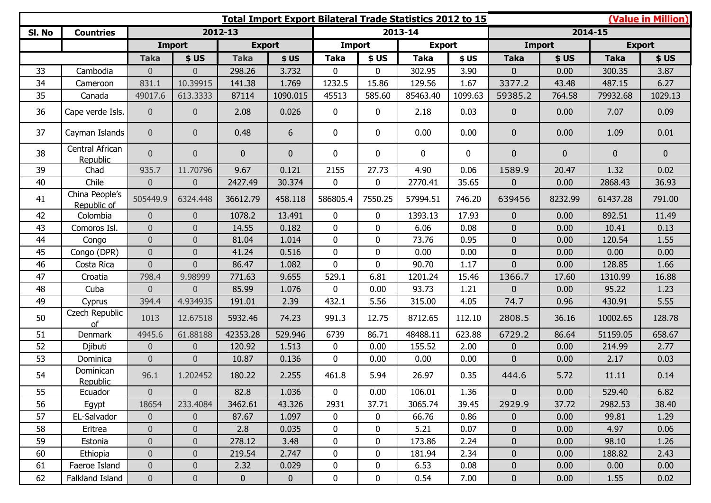|        |                               |                  |                  |                |             |                  |             | Total Import Export Bilateral Trade Statistics 2012 to 15 |              | (Value in Million) |               |                  |                |  |
|--------|-------------------------------|------------------|------------------|----------------|-------------|------------------|-------------|-----------------------------------------------------------|--------------|--------------------|---------------|------------------|----------------|--|
| SI. No | <b>Countries</b>              |                  |                  | 2012-13        |             |                  |             | 2013-14                                                   |              |                    |               | 2014-15          |                |  |
|        |                               |                  | <b>Import</b>    | <b>Export</b>  |             | <b>Import</b>    |             | <b>Export</b>                                             |              |                    | <b>Import</b> |                  | <b>Export</b>  |  |
|        |                               | <b>Taka</b>      | \$US             | <b>Taka</b>    | \$US        | <b>Taka</b>      | \$US        | <b>Taka</b>                                               | \$US         | <b>Taka</b>        | \$US          | <b>Taka</b>      | \$US           |  |
| 33     | Cambodia                      | $\overline{0}$   | $\overline{0}$   | 298.26         | 3.732       | $\mathbf{0}$     | $\mathbf 0$ | 302.95                                                    | 3.90         | $\overline{0}$     | 0.00          | 300.35           | 3.87           |  |
| 34     | Cameroon                      | 831.1            | 10.39915         | 141.38         | 1.769       | 1232.5           | 15.86       | 129.56                                                    | 1.67         | 3377.2             | 43.48         | 487.15           | 6.27           |  |
| 35     | Canada                        | 49017.6          | 613.3333         | 87114          | 1090.015    | 45513            | 585.60      | 85463.40                                                  | 1099.63      | 59385.2            | 764.58        | 79932.68         | 1029.13        |  |
| 36     | Cape verde Isls.              | $\overline{0}$   | $\pmb{0}$        | 2.08           | 0.026       | $\mathbf 0$      | $\mathbf 0$ | 2.18                                                      | 0.03         | $\overline{0}$     | 0.00          | 7.07             | 0.09           |  |
| 37     | Cayman Islands                | $\overline{0}$   | $\overline{0}$   | 0.48           | 6           | 0                | $\mathbf 0$ | 0.00                                                      | 0.00         | $\overline{0}$     | 0.00          | 1.09             | 0.01           |  |
| 38     | Central African<br>Republic   | $\overline{0}$   | $\theta$         | $\overline{0}$ | $\mathbf 0$ | 0                | $\mathbf 0$ | $\mathbf 0$                                               | $\mathbf{0}$ | $\overline{0}$     | $\pmb{0}$     | $\boldsymbol{0}$ | $\overline{0}$ |  |
| 39     | Chad                          | 935.7            | 11.70796         | 9.67           | 0.121       | 2155             | 27.73       | 4.90                                                      | 0.06         | 1589.9             | 20.47         | 1.32             | 0.02           |  |
| 40     | Chile                         | $\overline{0}$   | $\theta$         | 2427.49        | 30.374      | 0                | $\mathbf 0$ | 2770.41                                                   | 35.65        | $\overline{0}$     | 0.00          | 2868.43          | 36.93          |  |
| 41     | China People's<br>Republic of | 505449.9         | 6324.448         | 36612.79       | 458.118     | 586805.4         | 7550.25     | 57994.51                                                  | 746.20       | 639456             | 8232.99       | 61437.28         | 791.00         |  |
| 42     | Colombia                      | $\overline{0}$   | $\theta$         | 1078.2         | 13.491      | 0                | $\mathbf 0$ | 1393.13                                                   | 17.93        | $\overline{0}$     | 0.00          | 892.51           | 11.49          |  |
| 43     | Comoros Isl.                  | $\overline{0}$   | $\overline{0}$   | 14.55          | 0.182       | $\overline{0}$   | $\mathbf 0$ | 6.06                                                      | 0.08         | $\overline{0}$     | 0.00          | 10.41            | 0.13           |  |
| 44     | Congo                         | $\boldsymbol{0}$ | $\theta$         | 81.04          | 1.014       | $\mathbf{0}$     | $\mathbf 0$ | 73.76                                                     | 0.95         | $\overline{0}$     | 0.00          | 120.54           | 1.55           |  |
| 45     | Congo (DPR)                   | $\overline{0}$   | $\mathbf 0$      | 41.24          | 0.516       | $\overline{0}$   | $\mathbf 0$ | 0.00                                                      | 0.00         | $\overline{0}$     | 0.00          | 0.00             | 0.00           |  |
| 46     | Costa Rica                    | $\overline{0}$   | $\overline{0}$   | 86.47          | 1.082       | $\overline{0}$   | $\mathbf 0$ | 90.70                                                     | 1.17         | $\overline{0}$     | 0.00          | 128.85           | 1.66           |  |
| 47     | Croatia                       | 798.4            | 9.98999          | 771.63         | 9.655       | 529.1            | 6.81        | 1201.24                                                   | 15.46        | 1366.7             | 17.60         | 1310.99          | 16.88          |  |
| 48     | Cuba                          | $\overline{0}$   | $\Omega$         | 85.99          | 1.076       | $\mathbf{0}$     | 0.00        | 93.73                                                     | 1.21         | $\overline{0}$     | 0.00          | 95.22            | 1.23           |  |
| 49     | Cyprus                        | 394.4            | 4.934935         | 191.01         | 2.39        | 432.1            | 5.56        | 315.00                                                    | 4.05         | 74.7               | 0.96          | 430.91           | 5.55           |  |
| 50     | Czech Republic<br>of          | 1013             | 12.67518         | 5932.46        | 74.23       | 991.3            | 12.75       | 8712.65                                                   | 112.10       | 2808.5             | 36.16         | 10002.65         | 128.78         |  |
| 51     | Denmark                       | 4945.6           | 61.88188         | 42353.28       | 529.946     | 6739             | 86.71       | 48488.11                                                  | 623.88       | 6729.2             | 86.64         | 51159.05         | 658.67         |  |
| 52     | Djibuti                       | $\overline{0}$   | $\theta$         | 120.92         | 1.513       | 0                | 0.00        | 155.52                                                    | 2.00         | $\overline{0}$     | 0.00          | 214.99           | 2.77           |  |
| 53     | Dominica                      | $\overline{0}$   | $\mathbf 0$      | 10.87          | 0.136       | 0                | 0.00        | 0.00                                                      | 0.00         | $\overline{0}$     | 0.00          | 2.17             | 0.03           |  |
| 54     | Dominican<br>Republic         | 96.1             | 1.202452         | 180.22         | 2.255       | 461.8            | 5.94        | 26.97                                                     | 0.35         | 444.6              | 5.72          | 11.11            | 0.14           |  |
| 55     | Ecuador                       | $\boldsymbol{0}$ | $\overline{0}$   | 82.8           | 1.036       | $\pmb{0}$        | 0.00        | 106.01                                                    | 1.36         | $\pmb{0}$          | 0.00          | 529.40           | 6.82           |  |
| 56     | Egypt                         | 18654            | 233.4084         | 3462.61        | 43.326      | 2931             | 37.71       | 3065.74                                                   | 39.45        | 2929.9             | 37.72         | 2982.53          | 38.40          |  |
| 57     | EL-Salvador                   | $\overline{0}$   | $\overline{0}$   | 87.67          | 1.097       | $\boldsymbol{0}$ | $\mathbf 0$ | 66.76                                                     | 0.86         | $\overline{0}$     | 0.00          | 99.81            | 1.29           |  |
| 58     | Eritrea                       | $\overline{0}$   | $\pmb{0}$        | 2.8            | 0.035       | $\boldsymbol{0}$ | 0           | 5.21                                                      | 0.07         | $\overline{0}$     | 0.00          | 4.97             | 0.06           |  |
| 59     | Estonia                       | $\boldsymbol{0}$ | $\theta$         | 278.12         | 3.48        | 0                | $\mathbf 0$ | 173.86                                                    | 2.24         | $\overline{0}$     | 0.00          | 98.10            | 1.26           |  |
| 60     | Ethiopia                      | $\theta$         | $\boldsymbol{0}$ | 219.54         | 2.747       | $\boldsymbol{0}$ | 0           | 181.94                                                    | 2.34         | $\mathbf 0$        | 0.00          | 188.82           | 2.43           |  |
| 61     | Faeroe Island                 | $\overline{0}$   | $\boldsymbol{0}$ | 2.32           | 0.029       | $\bf{0}$         | $\mathbf 0$ | 6.53                                                      | 0.08         | $\mathbf 0$        | 0.00          | 0.00             | 0.00           |  |
| 62     | Falkland Island               | $\overline{0}$   | $\boldsymbol{0}$ | $\mathbf{0}$   | $\bf{0}$    | $\bf{0}$         | 0           | 0.54                                                      | 7.00         | $\mathbf 0$        | 0.00          | 1.55             | 0.02           |  |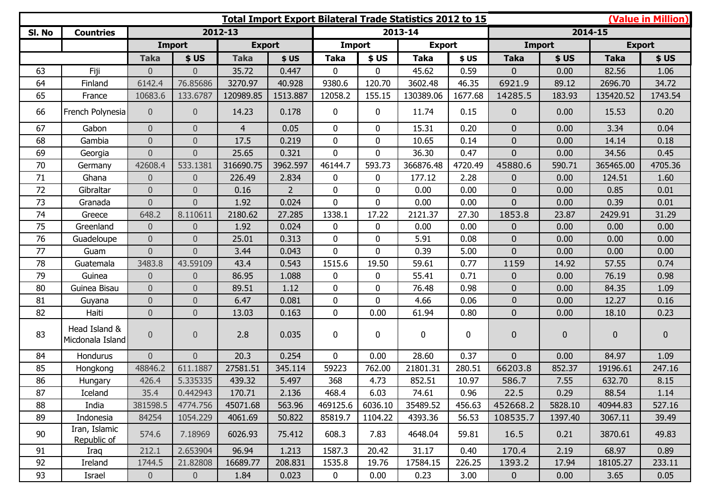| (Value in Million)<br><b>Total Import Export Bilateral Trade Statistics 2012 to 15</b> |                                   |                |                  |                |                |              |              |               |         |                |               |             |             |
|----------------------------------------------------------------------------------------|-----------------------------------|----------------|------------------|----------------|----------------|--------------|--------------|---------------|---------|----------------|---------------|-------------|-------------|
| SI. No                                                                                 | <b>Countries</b>                  |                |                  | 2012-13        |                |              |              | 2013-14       |         |                |               | 2014-15     |             |
|                                                                                        |                                   |                | <b>Import</b>    | <b>Export</b>  |                | Import       |              | <b>Export</b> |         | <b>Import</b>  | <b>Export</b> |             |             |
|                                                                                        |                                   | <b>Taka</b>    | \$US             | <b>Taka</b>    | \$US           | Taka         | \$US         | <b>Taka</b>   | \$US    | <b>Taka</b>    | \$US          | <b>Taka</b> | \$US        |
| 63                                                                                     | Fiji                              | $\overline{0}$ | $\Omega$         | 35.72          | 0.447          | $\mathbf 0$  | $\Omega$     | 45.62         | 0.59    | 0              | 0.00          | 82.56       | 1.06        |
| 64                                                                                     | Finland                           | 6142.4         | 76.85686         | 3270.97        | 40.928         | 9380.6       | 120.70       | 3602.48       | 46.35   | 6921.9         | 89.12         | 2696.70     | 34.72       |
| 65                                                                                     | France                            | 10683.6        | 133.6787         | 120989.85      | 1513.887       | 12058.2      | 155.15       | 130389.06     | 1677.68 | 14285.5        | 183.93        | 135420.52   | 1743.54     |
| 66                                                                                     | French Polynesia                  | $\overline{0}$ | $\overline{0}$   | 14.23          | 0.178          | $\mathbf 0$  | $\mathbf 0$  | 11.74         | 0.15    | $\overline{0}$ | 0.00          | 15.53       | 0.20        |
| 67                                                                                     | Gabon                             | $\overline{0}$ | $\overline{0}$   | $\overline{4}$ | 0.05           | $\mathbf 0$  | 0            | 15.31         | 0.20    | $\overline{0}$ | 0.00          | 3.34        | 0.04        |
| 68                                                                                     | Gambia                            | $\overline{0}$ | $\overline{0}$   | 17.5           | 0.219          | $\mathbf 0$  | 0            | 10.65         | 0.14    | $\overline{0}$ | 0.00          | 14.14       | 0.18        |
| 69                                                                                     | Georgia                           | $\overline{0}$ | $\overline{0}$   | 25.65          | 0.321          | $\mathbf 0$  | $\mathbf{0}$ | 36.30         | 0.47    | $\overline{0}$ | 0.00          | 34.56       | 0.45        |
| 70                                                                                     | Germany                           | 42608.4        | 533.1381         | 316690.75      | 3962.597       | 46144.7      | 593.73       | 366876.48     | 4720.49 | 45880.6        | 590.71        | 365465.00   | 4705.36     |
| 71                                                                                     | Ghana                             | $\overline{0}$ | $\overline{0}$   | 226.49         | 2.834          | $\mathbf 0$  | $\mathbf{0}$ | 177.12        | 2.28    | 0              | 0.00          | 124.51      | 1.60        |
| 72                                                                                     | Gibraltar                         | $\overline{0}$ | $\mathbf 0$      | 0.16           | $\overline{2}$ | $\mathbf 0$  | 0            | 0.00          | 0.00    | $\overline{0}$ | 0.00          | 0.85        | 0.01        |
| 73                                                                                     | Granada                           | $\overline{0}$ | $\overline{0}$   | 1.92           | 0.024          | $\mathbf 0$  | $\mathbf{0}$ | 0.00          | 0.00    | $\overline{0}$ | 0.00          | 0.39        | 0.01        |
| 74                                                                                     | Greece                            | 648.2          | 8.110611         | 2180.62        | 27.285         | 1338.1       | 17.22        | 2121.37       | 27.30   | 1853.8         | 23.87         | 2429.91     | 31.29       |
| 75                                                                                     | Greenland                         | $\overline{0}$ | $\mathbf 0$      | 1.92           | 0.024          | $\mathbf 0$  | 0            | 0.00          | 0.00    | 0              | 0.00          | 0.00        | 0.00        |
| 76                                                                                     | Guadeloupe                        | $\overline{0}$ | $\overline{0}$   | 25.01          | 0.313          | $\mathbf 0$  | $\mathbf{0}$ | 5.91          | 0.08    | $\overline{0}$ | 0.00          | 0.00        | 0.00        |
| 77                                                                                     | Guam                              | $\Omega$       | $\Omega$         | 3.44           | 0.043          | $\mathbf{0}$ | $\Omega$     | 0.39          | 5.00    | $\overline{0}$ | 0.00          | 0.00        | 0.00        |
| 78                                                                                     | Guatemala                         | 3483.8         | 43.59109         | 43.4           | 0.543          | 1515.6       | 19.50        | 59.61         | 0.77    | 1159           | 14.92         | 57.55       | 0.74        |
| 79                                                                                     | Guinea                            | $\overline{0}$ | $\overline{0}$   | 86.95          | 1.088          | $\mathbf 0$  | 0            | 55.41         | 0.71    | 0              | 0.00          | 76.19       | 0.98        |
| 80                                                                                     | Guinea Bisau                      | $\overline{0}$ | $\overline{0}$   | 89.51          | 1.12           | $\mathbf 0$  | 0            | 76.48         | 0.98    | $\overline{0}$ | 0.00          | 84.35       | 1.09        |
| 81                                                                                     | Guyana                            | $\overline{0}$ | $\overline{0}$   | 6.47           | 0.081          | $\mathbf 0$  | 0            | 4.66          | 0.06    | $\overline{0}$ | 0.00          | 12.27       | 0.16        |
| 82                                                                                     | Haiti                             | $\overline{0}$ | $\overline{0}$   | 13.03          | 0.163          | $\mathbf{0}$ | 0.00         | 61.94         | 0.80    | $\overline{0}$ | 0.00          | 18.10       | 0.23        |
| 83                                                                                     | Head Island &<br>Micdonala Island | $\overline{0}$ | $\boldsymbol{0}$ | 2.8            | 0.035          | $\mathbf 0$  | $\mathbf 0$  | $\mathbf 0$   | 0       | 0              | $\pmb{0}$     | $\pmb{0}$   | $\mathbf 0$ |
| 84                                                                                     | Hondurus                          | $\overline{0}$ | $\overline{0}$   | 20.3           | 0.254          | $\mathbf 0$  | 0.00         | 28.60         | 0.37    | $\overline{0}$ | 0.00          | 84.97       | 1.09        |
| 85                                                                                     | Hongkong                          | 48846.2        | 611.1887         | 27581.51       | 345.114        | 59223        | 762.00       | 21801.31      | 280.51  | 66203.8        | 852.37        | 19196.61    | 247.16      |
| 86                                                                                     | Hungary                           | 426.4          | 5.335335         | 439.32         | 5.497          | 368          | 4.73         | 852.51        | 10.97   | 586.7          | 7.55          | 632.70      | 8.15        |
| 87                                                                                     | Iceland                           | 35.4           | 0.442943         | 170.71         | 2.136          | 468.4        | 6.03         | 74.61         | 0.96    | 22.5           | 0.29          | 88.54       | 1.14        |
| 88                                                                                     | India                             | 381598.5       | 4774.756         | 45071.68       | 563.96         | 469125.6     | 6036.10      | 35489.52      | 456.63  | 452668.2       | 5828.10       | 40944.83    | 527.16      |
| 89                                                                                     | Indonesia                         | 84254          | 1054.229         | 4061.69        | 50.822         | 85819.7      | 1104.22      | 4393.36       | 56.53   | 108535.7       | 1397.40       | 3067.11     | 39.49       |
| 90                                                                                     | Iran, Islamic<br>Republic of      | 574.6          | 7.18969          | 6026.93        | 75.412         | 608.3        | 7.83         | 4648.04       | 59.81   | 16.5           | 0.21          | 3870.61     | 49.83       |
| 91                                                                                     | Iraq                              | 212.1          | 2.653904         | 96.94          | 1.213          | 1587.3       | 20.42        | 31.17         | 0.40    | 170.4          | 2.19          | 68.97       | 0.89        |
| 92                                                                                     | Ireland                           | 1744.5         | 21.82808         | 16689.77       | 208.831        | 1535.8       | 19.76        | 17584.15      | 226.25  | 1393.2         | 17.94         | 18105.27    | 233.11      |
| 93                                                                                     | Israel                            | $\overline{0}$ | $\overline{0}$   | 1.84           | 0.023          | $\mathbf 0$  | 0.00         | 0.23          | 3.00    | $\overline{0}$ | 0.00          | 3.65        | 0.05        |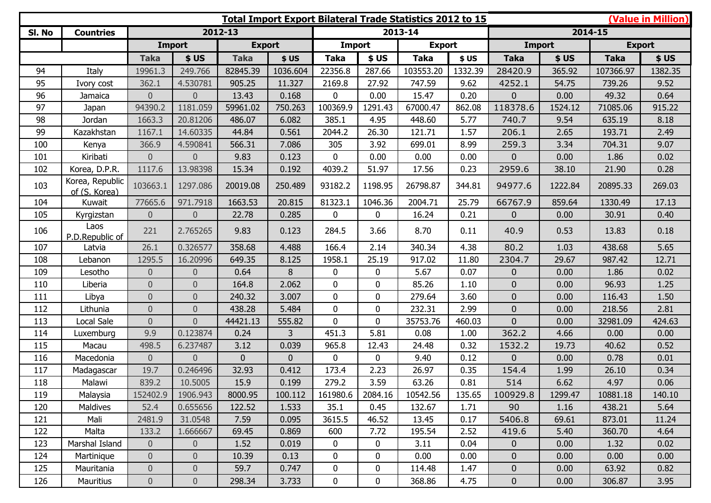| <b>Total Import Export Bilateral Trade Statistics 2012 to 15</b> |                                  |                |                |               |          |                  |              |               |         |                |         |               | (Value in Million) |
|------------------------------------------------------------------|----------------------------------|----------------|----------------|---------------|----------|------------------|--------------|---------------|---------|----------------|---------|---------------|--------------------|
| SI. No                                                           | <b>Countries</b>                 |                |                | 2012-13       |          |                  |              | 2013-14       |         |                |         | 2014-15       |                    |
|                                                                  |                                  |                | Import         | <b>Export</b> |          | <b>Import</b>    |              | <b>Export</b> |         | <b>Import</b>  |         | <b>Export</b> |                    |
|                                                                  |                                  | <b>Taka</b>    | \$US           | <b>Taka</b>   | \$US     | <b>Taka</b>      | \$US         | <b>Taka</b>   | \$US    | <b>Taka</b>    | \$US    | <b>Taka</b>   | \$US               |
| 94                                                               | Italy                            | 19961.3        | 249.766        | 82845.39      | 1036.604 | 22356.8          | 287.66       | 103553.20     | 1332.39 | 28420.9        | 365.92  | 107366.97     | 1382.35            |
| 95                                                               | Ivory cost                       | 362.1          | 4.530781       | 905.25        | 11.327   | 2169.8           | 27.92        | 747.59        | 9.62    | 4252.1         | 54.75   | 739.26        | 9.52               |
| 96                                                               | Jamaica                          | $\overline{0}$ | $\overline{0}$ | 13.43         | 0.168    | 0                | 0.00         | 15.47         | 0.20    | $\overline{0}$ | 0.00    | 49.32         | 0.64               |
| 97                                                               | Japan                            | 94390.2        | 1181.059       | 59961.02      | 750.263  | 100369.9         | 1291.43      | 67000.47      | 862.08  | 118378.6       | 1524.12 | 71085.06      | 915.22             |
| 98                                                               | Jordan                           | 1663.3         | 20.81206       | 486.07        | 6.082    | 385.1            | 4.95         | 448.60        | 5.77    | 740.7          | 9.54    | 635.19        | 8.18               |
| 99                                                               | Kazakhstan                       | 1167.1         | 14.60335       | 44.84         | 0.561    | 2044.2           | 26.30        | 121.71        | 1.57    | 206.1          | 2.65    | 193.71        | 2.49               |
| 100                                                              | Kenya                            | 366.9          | 4.590841       | 566.31        | 7.086    | 305              | 3.92         | 699.01        | 8.99    | 259.3          | 3.34    | 704.31        | 9.07               |
| 101                                                              | Kiribati                         | $\overline{0}$ | $\overline{0}$ | 9.83          | 0.123    | $\mathbf{0}$     | 0.00         | 0.00          | 0.00    | $\overline{0}$ | 0.00    | 1.86          | 0.02               |
| 102                                                              | Korea, D.P.R.                    | 1117.6         | 13.98398       | 15.34         | 0.192    | 4039.2           | 51.97        | 17.56         | 0.23    | 2959.6         | 38.10   | 21.90         | 0.28               |
| 103                                                              | Korea, Republic<br>of (S. Korea) | 103663.1       | 1297.086       | 20019.08      | 250.489  | 93182.2          | 1198.95      | 26798.87      | 344.81  | 94977.6        | 1222.84 | 20895.33      | 269.03             |
| 104                                                              | Kuwait                           | 77665.6        | 971.7918       | 1663.53       | 20.815   | 81323.1          | 1046.36      | 2004.71       | 25.79   | 66767.9        | 859.64  | 1330.49       | 17.13              |
| 105                                                              | Kyrgizstan                       | $\overline{0}$ | $\pmb{0}$      | 22.78         | 0.285    | $\boldsymbol{0}$ | 0            | 16.24         | 0.21    | 0              | 0.00    | 30.91         | 0.40               |
| 106                                                              | Laos<br>P.D.Republic of          | 221            | 2.765265       | 9.83          | 0.123    | 284.5            | 3.66         | 8.70          | 0.11    | 40.9           | 0.53    | 13.83         | 0.18               |
| 107                                                              | Latvia                           | 26.1           | 0.326577       | 358.68        | 4.488    | 166.4            | 2.14         | 340.34        | 4.38    | 80.2           | 1.03    | 438.68        | 5.65               |
| 108                                                              | Lebanon                          | 1295.5         | 16.20996       | 649.35        | 8.125    | 1958.1           | 25.19        | 917.02        | 11.80   | 2304.7         | 29.67   | 987.42        | 12.71              |
| 109                                                              | Lesotho                          | $\overline{0}$ | $\overline{0}$ | 0.64          | 8        | 0                | $\mathbf 0$  | 5.67          | 0.07    | 0              | 0.00    | 1.86          | 0.02               |
| 110                                                              | Liberia                          | $\overline{0}$ | $\overline{0}$ | 164.8         | 2.062    | $\mathbf{0}$     | 0            | 85.26         | 1.10    | $\overline{0}$ | 0.00    | 96.93         | 1.25               |
| 111                                                              | Libya                            | $\overline{0}$ | $\overline{0}$ | 240.32        | 3.007    | $\mathbf 0$      | $\mathbf{0}$ | 279.64        | 3.60    | $\overline{0}$ | 0.00    | 116.43        | 1.50               |
| 112                                                              | Lithunia                         | $\overline{0}$ | $\overline{0}$ | 438.28        | 5.484    | $\mathbf 0$      | $\mathbf 0$  | 232.31        | 2.99    | $\overline{0}$ | 0.00    | 218.56        | 2.81               |
| 113                                                              | Local Sale                       | $\theta$       | $\overline{0}$ | 44421.13      | 555.82   | $\overline{0}$   | $\mathbf 0$  | 35753.76      | 460.03  | $\overline{0}$ | 0.00    | 32981.09      | 424.63             |
| 114                                                              | Luxemburg                        | 9.9            | 0.123874       | 0.24          | 3        | 451.3            | 5.81         | 0.08          | 1.00    | 362.2          | 4.66    | 0.00          | 0.00               |
| 115                                                              | Macau                            | 498.5          | 6.237487       | 3.12          | 0.039    | 965.8            | 12.43        | 24.48         | 0.32    | 1532.2         | 19.73   | 40.62         | 0.52               |
| 116                                                              | Macedonia                        | $\overline{0}$ | $\overline{0}$ | $\mathbf{0}$  | 0        | 0                | $\mathbf 0$  | 9.40          | 0.12    | $\overline{0}$ | 0.00    | 0.78          | 0.01               |
| 117                                                              | Madagascar                       | 19.7           | 0.246496       | 32.93         | 0.412    | 173.4            | 2.23         | 26.97         | 0.35    | 154.4          | 1.99    | 26.10         | 0.34               |
| 118                                                              | Malawi                           | 839.2          | 10.5005        | 15.9          | 0.199    | 279.2            | 3.59         | 63.26         | 0.81    | 514            | 6.62    | 4.97          | 0.06               |
| 119                                                              | Malaysia                         | 152402.9       | 1906.943       | 8000.95       | 100.112  | 161980.6         | 2084.16      | 10542.56      | 135.65  | 100929.8       | 1299.47 | 10881.18      | 140.10             |
| 120                                                              | Maldives                         | 52.4           | 0.655656       | 122.52        | 1.533    | 35.1             | 0.45         | 132.67        | 1.71    | 90             | 1.16    | 438.21        | 5.64               |
| 121                                                              | Mali                             | 2481.9         | 31.0548        | 7.59          | 0.095    | 3615.5           | 46.52        | 13.45         | 0.17    | 5406.8         | 69.61   | 873.01        | 11.24              |
| 122                                                              | Malta                            | 133.2          | 1.666667       | 69.45         | 0.869    | 600              | 7.72         | 195.54        | 2.52    | 419.6          | 5.40    | 360.70        | 4.64               |
| 123                                                              | Marshal Island                   | $\overline{0}$ | $\overline{0}$ | 1.52          | 0.019    | $\boldsymbol{0}$ | $\mathbf 0$  | 3.11          | 0.04    | $\mathbf{0}$   | 0.00    | 1.32          | 0.02               |
| 124                                                              | Martinique                       | $\overline{0}$ | $\overline{0}$ | 10.39         | 0.13     | $\mathbf 0$      | 0            | 0.00          | 0.00    | $\overline{0}$ | 0.00    | 0.00          | 0.00               |
| 125                                                              | Mauritania                       | $\theta$       | $\overline{0}$ | 59.7          | 0.747    | $\bf{0}$         | 0            | 114.48        | 1.47    | $\overline{0}$ | 0.00    | 63.92         | 0.82               |
| 126                                                              | <b>Mauritius</b>                 | $\overline{0}$ | $\pmb{0}$      | 298.34        | 3.733    | $\mathbf 0$      | $\mathbf 0$  | 368.86        | 4.75    | $\overline{0}$ | 0.00    | 306.87        | 3.95               |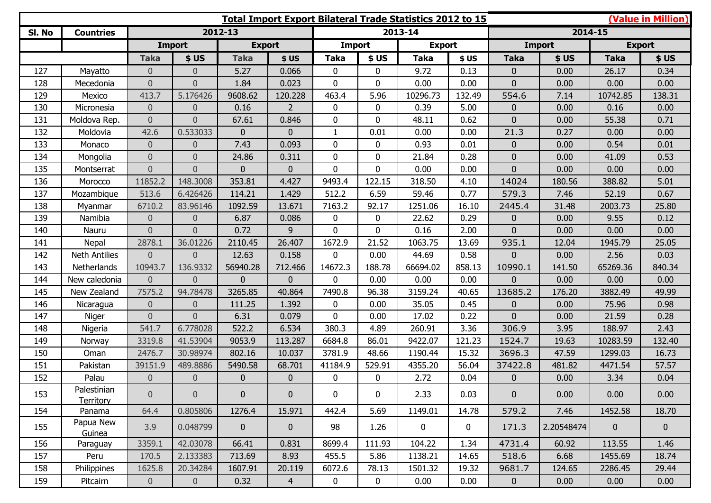|        |                          |                |                  |                | <b>(Value in Million)</b><br>Total Import Export Bilateral Trade Statistics 2012 to 15 |               |              |               |             |                |               |              |                |
|--------|--------------------------|----------------|------------------|----------------|----------------------------------------------------------------------------------------|---------------|--------------|---------------|-------------|----------------|---------------|--------------|----------------|
| SI. No | <b>Countries</b>         |                |                  | 2012-13        |                                                                                        |               |              | 2013-14       |             |                | 2014-15       |              |                |
|        |                          |                | <b>Import</b>    | <b>Export</b>  |                                                                                        | <b>Import</b> |              | <b>Export</b> |             |                | <b>Import</b> |              | <b>Export</b>  |
|        |                          | <b>Taka</b>    | \$US             | <b>Taka</b>    | \$US                                                                                   | <b>Taka</b>   | \$US         | <b>Taka</b>   | \$US        | <b>Taka</b>    | \$US          | <b>Taka</b>  | \$US           |
| 127    | Mayatto                  | $\overline{0}$ | $\overline{0}$   | 5.27           | 0.066                                                                                  | $\mathbf{0}$  | 0            | 9.72          | 0.13        | $\overline{0}$ | 0.00          | 26.17        | 0.34           |
| 128    | Mecedonia                | $\overline{0}$ | $\overline{0}$   | 1.84           | 0.023                                                                                  | $\mathbf{0}$  | $\Omega$     | 0.00          | 0.00        | 0              | 0.00          | 0.00         | 0.00           |
| 129    | Mexico                   | 413.7          | 5.176426         | 9608.62        | 120.228                                                                                | 463.4         | 5.96         | 10296.73      | 132.49      | 554.6          | 7.14          | 10742.85     | 138.31         |
| 130    | Micronesia               | $\overline{0}$ | $\overline{0}$   | 0.16           | $\overline{2}$                                                                         | 0             | 0            | 0.39          | 5.00        | $\mathbf{0}$   | 0.00          | 0.16         | 0.00           |
| 131    | Moldova Rep.             | $\overline{0}$ | $\overline{0}$   | 67.61          | 0.846                                                                                  | $\mathbf{0}$  | 0            | 48.11         | 0.62        | 0              | 0.00          | 55.38        | 0.71           |
| 132    | Moldovia                 | 42.6           | 0.533033         | $\overline{0}$ | $\mathbf 0$                                                                            | $\mathbf{1}$  | 0.01         | 0.00          | 0.00        | 21.3           | 0.27          | 0.00         | 0.00           |
| 133    | Monaco                   | $\overline{0}$ | $\boldsymbol{0}$ | 7.43           | 0.093                                                                                  | 0             | $\mathbf{0}$ | 0.93          | 0.01        | $\Omega$       | 0.00          | 0.54         | 0.01           |
| 134    | Mongolia                 | $\overline{0}$ | $\overline{0}$   | 24.86          | 0.311                                                                                  | $\mathbf{0}$  | $\mathbf{0}$ | 21.84         | 0.28        | $\overline{0}$ | 0.00          | 41.09        | 0.53           |
| 135    | Montserrat               | $\overline{0}$ | $\overline{0}$   | $\overline{0}$ | $\mathbf 0$                                                                            | 0             | 0            | 0.00          | 0.00        | 0              | 0.00          | 0.00         | 0.00           |
| 136    | Morocco                  | 11852.2        | 148.3008         | 353.81         | 4.427                                                                                  | 9493.4        | 122.15       | 318.50        | 4.10        | 14024          | 180.56        | 388.82       | 5.01           |
| 137    | Mozambique               | 513.6          | 6.426426         | 114.21         | 1.429                                                                                  | 512.2         | 6.59         | 59.46         | 0.77        | 579.3          | 7.46          | 52.19        | 0.67           |
| 138    | Myanmar                  | 6710.2         | 83.96146         | 1092.59        | 13.671                                                                                 | 7163.2        | 92.17        | 1251.06       | 16.10       | 2445.4         | 31.48         | 2003.73      | 25.80          |
| 139    | Namibia                  | $\overline{0}$ | $\overline{0}$   | 6.87           | 0.086                                                                                  | 0             | 0            | 22.62         | 0.29        | $\overline{0}$ | 0.00          | 9.55         | 0.12           |
| 140    | Nauru                    | $\Omega$       | $\Omega$         | 0.72           | 9                                                                                      | 0             | $\Omega$     | 0.16          | 2.00        | $\Omega$       | 0.00          | 0.00         | 0.00           |
| 141    | Nepal                    | 2878.1         | 36.01226         | 2110.45        | 26.407                                                                                 | 1672.9        | 21.52        | 1063.75       | 13.69       | 935.1          | 12.04         | 1945.79      | 25.05          |
| 142    | <b>Neth Antilies</b>     | $\overline{0}$ | $\overline{0}$   | 12.63          | 0.158                                                                                  | 0             | 0.00         | 44.69         | 0.58        | 0              | 0.00          | 2.56         | 0.03           |
| 143    | Netherlands              | 10943.7        | 136.9332         | 56940.28       | 712.466                                                                                | 14672.3       | 188.78       | 66694.02      | 858.13      | 10990.1        | 141.50        | 65269.36     | 840.34         |
| 144    | New caledonia            | $\overline{0}$ | $\overline{0}$   | $\overline{0}$ | $\mathbf{0}$                                                                           | $\mathbf{0}$  | 0.00         | 0.00          | 0.00        | 0              | 0.00          | 0.00         | 0.00           |
| 145    | New Zealand              | 7575.2         | 94.78478         | 3265.85        | 40.864                                                                                 | 7490.8        | 96.38        | 3159.24       | 40.65       | 13685.2        | 176.20        | 3882.49      | 49.99          |
| 146    | Nicaragua                | $\overline{0}$ | $\theta$         | 111.25         | 1.392                                                                                  | 0             | 0.00         | 35.05         | 0.45        | $\overline{0}$ | 0.00          | 75.96        | 0.98           |
| 147    | Niger                    | $\overline{0}$ | $\overline{0}$   | 6.31           | 0.079                                                                                  | 0             | 0.00         | 17.02         | 0.22        | $\Omega$       | 0.00          | 21.59        | 0.28           |
| 148    | Nigeria                  | 541.7          | 6.778028         | 522.2          | 6.534                                                                                  | 380.3         | 4.89         | 260.91        | 3.36        | 306.9          | 3.95          | 188.97       | 2.43           |
| 149    | Norway                   | 3319.8         | 41.53904         | 9053.9         | 113.287                                                                                | 6684.8        | 86.01        | 9422.07       | 121.23      | 1524.7         | 19.63         | 10283.59     | 132.40         |
| 150    | Oman                     | 2476.7         | 30.98974         | 802.16         | 10.037                                                                                 | 3781.9        | 48.66        | 1190.44       | 15.32       | 3696.3         | 47.59         | 1299.03      | 16.73          |
| 151    | Pakistan                 | 39151.9        | 489.8886         | 5490.58        | 68.701                                                                                 | 41184.9       | 529.91       | 4355.20       | 56.04       | 37422.8        | 481.82        | 4471.54      | 57.57          |
| 152    | Palau                    | $\overline{0}$ | $\theta$         | $\overline{0}$ | $\mathbf 0$                                                                            | 0             | 0            | 2.72          | 0.04        | $\mathbf{0}$   | 0.00          | 3.34         | 0.04           |
| 153    | Palestinian<br>Territory | $\overline{0}$ | $\overline{0}$   | $\overline{0}$ | $\mathbf 0$                                                                            | 0             | $\mathbf 0$  | 2.33          | 0.03        | $\mathbf{0}$   | 0.00          | 0.00         | 0.00           |
| 154    | Panama                   | 64.4           | 0.805806         | 1276.4         | 15.971                                                                                 | 442.4         | 5.69         | 1149.01       | 14.78       | 579.2          | 7.46          | 1452.58      | 18.70          |
| 155    | Papua New<br>Guinea      | 3.9            | 0.048799         | $\mathbf{0}$   | $\pmb{0}$                                                                              | 98            | 1.26         | $\mathbf 0$   | $\mathbf 0$ | 171.3          | 2.20548474    | $\mathbf{0}$ | $\overline{0}$ |
| 156    | Paraguay                 | 3359.1         | 42.03078         | 66.41          | 0.831                                                                                  | 8699.4        | 111.93       | 104.22        | 1.34        | 4731.4         | 60.92         | 113.55       | 1.46           |
| 157    | Peru                     | 170.5          | 2.133383         | 713.69         | 8.93                                                                                   | 455.5         | 5.86         | 1138.21       | 14.65       | 518.6          | 6.68          | 1455.69      | 18.74          |
| 158    | Philippines              | 1625.8         | 20.34284         | 1607.91        | 20.119                                                                                 | 6072.6        | 78.13        | 1501.32       | 19.32       | 9681.7         | 124.65        | 2286.45      | 29.44          |
| 159    | Pitcairn                 | $\overline{0}$ | $\overline{0}$   | 0.32           | $\overline{4}$                                                                         | $\mathbf 0$   | $\mathbf 0$  | 0.00          | 0.00        | $\mathbf 0$    | 0.00          | 0.00         | 0.00           |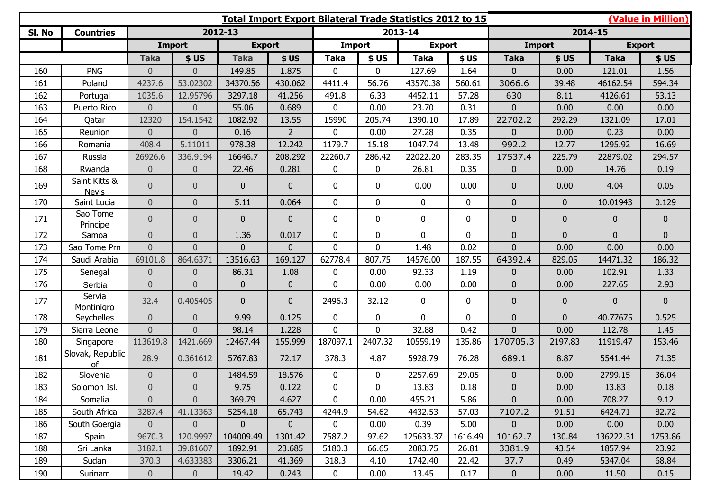| (Value in Million)<br><b>Total Import Export Bilateral Trade Statistics 2012 to 15</b> |                               |                |                  |                |                |                |                |               |          |                |                |               |                |
|----------------------------------------------------------------------------------------|-------------------------------|----------------|------------------|----------------|----------------|----------------|----------------|---------------|----------|----------------|----------------|---------------|----------------|
| SI. No                                                                                 | <b>Countries</b>              |                |                  | 2012-13        |                |                |                | 2013-14       |          |                |                | 2014-15       |                |
|                                                                                        |                               |                | <b>Import</b>    | <b>Export</b>  |                | Import         |                | <b>Export</b> |          | <b>Import</b>  |                | <b>Export</b> |                |
|                                                                                        |                               | <b>Taka</b>    | \$US             | <b>Taka</b>    | \$US           | <b>Taka</b>    | \$US           | <b>Taka</b>   | \$US     | <b>Taka</b>    | \$US           | <b>Taka</b>   | \$US           |
| 160                                                                                    | <b>PNG</b>                    | $\overline{0}$ | $\overline{0}$   | 149.85         | 1.875          | $\mathbf 0$    | 0              | 127.69        | 1.64     | 0              | 0.00           | 121.01        | 1.56           |
| 161                                                                                    | Poland                        | 4237.6         | 53.02302         | 34370.56       | 430.062        | 4411.4         | 56.76          | 43570.38      | 560.61   | 3066.6         | 39.48          | 46162.54      | 594.34         |
| 162                                                                                    | Portugal                      | 1035.6         | 12.95796         | 3297.18        | 41.256         | 491.8          | 6.33           | 4452.11       | 57.28    | 630            | 8.11           | 4126.61       | 53.13          |
| 163                                                                                    | Puerto Rico                   | $\overline{0}$ | $\overline{0}$   | 55.06          | 0.689          | 0              | 0.00           | 23.70         | 0.31     | $\overline{0}$ | 0.00           | 0.00          | 0.00           |
| 164                                                                                    | Qatar                         | 12320          | 154.1542         | 1082.92        | 13.55          | 15990          | 205.74         | 1390.10       | 17.89    | 22702.2        | 292.29         | 1321.09       | 17.01          |
| 165                                                                                    | Reunion                       | $\overline{0}$ | $\overline{0}$   | 0.16           | $\overline{2}$ | 0              | 0.00           | 27.28         | 0.35     | $\overline{0}$ | 0.00           | 0.23          | 0.00           |
| 166                                                                                    | Romania                       | 408.4          | 5.11011          | 978.38         | 12.242         | 1179.7         | 15.18          | 1047.74       | 13.48    | 992.2          | 12.77          | 1295.92       | 16.69          |
| 167                                                                                    | Russia                        | 26926.6        | 336.9194         | 16646.7        | 208.292        | 22260.7        | 286.42         | 22022.20      | 283.35   | 17537.4        | 225.79         | 22879.02      | 294.57         |
| 168                                                                                    | Rwanda                        | $\mathbf 0$    | $\overline{0}$   | 22.46          | 0.281          | 0              | 0              | 26.81         | 0.35     | $\overline{0}$ | 0.00           | 14.76         | 0.19           |
| 169                                                                                    | Saint Kitts &<br><b>Nevis</b> | $\overline{0}$ | $\theta$         | $\overline{0}$ | $\mathbf{0}$   | 0              | 0              | 0.00          | 0.00     | $\overline{0}$ | 0.00           | 4.04          | 0.05           |
| 170                                                                                    | Saint Lucia                   | $\overline{0}$ | $\overline{0}$   | 5.11           | 0.064          | $\overline{0}$ | $\overline{0}$ | $\mathbf{0}$  | 0        | $\overline{0}$ | $\overline{0}$ | 10.01943      | 0.129          |
| 171                                                                                    | Sao Tome<br>Principe          | $\overline{0}$ | $\theta$         | $\overline{0}$ | $\mathbf{0}$   | 0              | 0              | $\mathbf 0$   | 0        | $\overline{0}$ | $\mathbf{0}$   | $\mathbf 0$   | $\overline{0}$ |
| 172                                                                                    | Samoa                         | $\overline{0}$ | $\mathbf 0$      | 1.36           | 0.017          | 0              | 0              | $\mathbf{0}$  | 0        | $\overline{0}$ | $\mathbf{0}$   | $\mathbf 0$   | $\overline{0}$ |
| 173                                                                                    | Sao Tome Prn                  | $\overline{0}$ | $\overline{0}$   | $\overline{0}$ | $\overline{0}$ | $\overline{0}$ | $\overline{0}$ | 1.48          | 0.02     | $\overline{0}$ | 0.00           | 0.00          | 0.00           |
| 174                                                                                    | Saudi Arabia                  | 69101.8        | 864.6371         | 13516.63       | 169.127        | 62778.4        | 807.75         | 14576.00      | 187.55   | 64392.4        | 829.05         | 14471.32      | 186.32         |
| 175                                                                                    | Senegal                       | $\overline{0}$ | $\mathbf 0$      | 86.31          | 1.08           | 0              | 0.00           | 92.33         | 1.19     | $\overline{0}$ | 0.00           | 102.91        | 1.33           |
| 176                                                                                    | Serbia                        | $\overline{0}$ | $\overline{0}$   | $\overline{0}$ | $\mathbf{0}$   | $\overline{0}$ | 0.00           | 0.00          | 0.00     | $\overline{0}$ | 0.00           | 227.65        | 2.93           |
| 177                                                                                    | Servia<br><b>Montinigro</b>   | 32.4           | 0.405405         | $\overline{0}$ | $\mathbf{0}$   | 2496.3         | 32.12          | $\mathbf 0$   | 0        | $\mathbf{0}$   | $\mathbf{0}$   | $\mathbf 0$   | $\overline{0}$ |
| 178                                                                                    | Seychelles                    | $\overline{0}$ | $\overline{0}$   | 9.99           | 0.125          | $\mathbf 0$    | 0              | $\mathbf{0}$  | $\Omega$ | $\overline{0}$ | $\mathbf{0}$   | 40.77675      | 0.525          |
| 179                                                                                    | Sierra Leone                  | $\overline{0}$ | $\Omega$         | 98.14          | 1.228          | $\overline{0}$ | $\Omega$       | 32.88         | 0.42     | $\overline{0}$ | 0.00           | 112.78        | 1.45           |
| 180                                                                                    | Singapore                     | 113619.8       | 1421.669         | 12467.44       | 155.999        | 187097.1       | 2407.32        | 10559.19      | 135.86   | 170705.3       | 2197.83        | 11919.47      | 153.46         |
| 181                                                                                    | Slovak, Republic<br>of        | 28.9           | 0.361612         | 5767.83        | 72.17          | 378.3          | 4.87           | 5928.79       | 76.28    | 689.1          | 8.87           | 5541.44       | 71.35          |
| 182                                                                                    | Slovenia                      | $\mathbf 0$    | $\overline{0}$   | 1484.59        | 18.576         | 0              | 0              | 2257.69       | 29.05    | 0              | 0.00           | 2799.15       | 36.04          |
| 183                                                                                    | Solomon Isl.                  | $\overline{0}$ | $\Omega$         | 9.75           | 0.122          | $\overline{0}$ | 0              | 13.83         | 0.18     | $\overline{0}$ | 0.00           | 13.83         | 0.18           |
| 184                                                                                    | Somalia                       | $\overline{0}$ | $\overline{0}$   | 369.79         | 4.627          | 0              | 0.00           | 455.21        | 5.86     | $\overline{0}$ | 0.00           | 708.27        | 9.12           |
| 185                                                                                    | South Africa                  | 3287.4         | 41.13363         | 5254.18        | 65.743         | 4244.9         | 54.62          | 4432.53       | 57.03    | 7107.2         | 91.51          | 6424.71       | 82.72          |
| 186                                                                                    | South Goergia                 | $\overline{0}$ | $\boldsymbol{0}$ | $\mathbf{0}$   | $\mathbf 0$    | $\mathbf 0$    | 0.00           | 0.39          | 5.00     | $\overline{0}$ | 0.00           | 0.00          | 0.00           |
| 187                                                                                    | Spain                         | 9670.3         | 120.9997         | 104009.49      | 1301.42        | 7587.2         | 97.62          | 125633.37     | 1616.49  | 10162.7        | 130.84         | 136222.31     | 1753.86        |
| 188                                                                                    | Sri Lanka                     | 3182.1         | 39.81607         | 1892.91        | 23.685         | 5180.3         | 66.65          | 2083.75       | 26.81    | 3381.9         | 43.54          | 1857.94       | 23.92          |
| 189                                                                                    | Sudan                         | 370.3          | 4.633383         | 3306.21        | 41.369         | 318.3          | 4.10           | 1742.40       | 22.42    | 37.7           | 0.49           | 5347.04       | 68.84          |
| 190                                                                                    | Surinam                       | $\overline{0}$ | $\overline{0}$   | 19.42          | 0.243          | 0              | 0.00           | 13.45         | 0.17     | $\mathbf 0$    | 0.00           | 11.50         | 0.15           |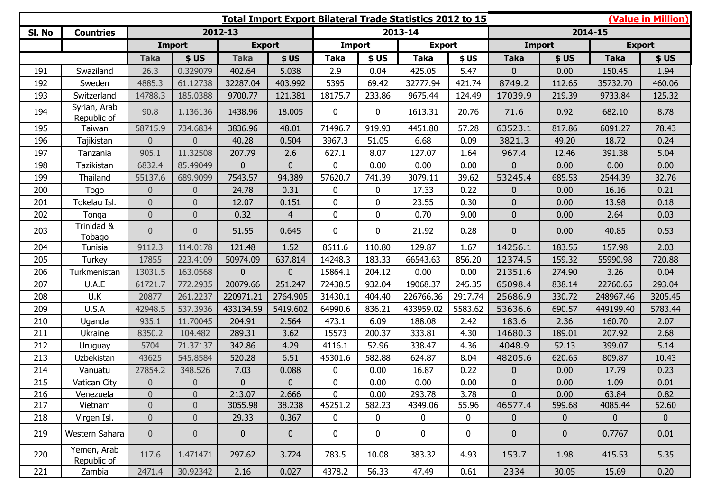| <b>Total Import Export Bilateral Trade Statistics 2012 to 15</b> |                             |                  |                  |                |                |                |             |               |             |                |                |               | (Value in Million) |  |
|------------------------------------------------------------------|-----------------------------|------------------|------------------|----------------|----------------|----------------|-------------|---------------|-------------|----------------|----------------|---------------|--------------------|--|
| SI. No                                                           | <b>Countries</b>            |                  |                  | 2012-13        |                |                |             | 2013-14       |             | 2014-15        |                |               |                    |  |
|                                                                  |                             |                  | <b>Import</b>    | <b>Export</b>  |                | <b>Import</b>  |             | <b>Export</b> |             | <b>Import</b>  |                | <b>Export</b> |                    |  |
|                                                                  |                             | <b>Taka</b>      | \$US             | <b>Taka</b>    | \$US           | Taka           | \$US        | Taka          | \$US        | <b>Taka</b>    | \$US           | <b>Taka</b>   | \$US               |  |
| 191                                                              | Swaziland                   | 26.3             | 0.329079         | 402.64         | 5.038          | 2.9            | 0.04        | 425.05        | 5.47        | $\overline{0}$ | 0.00           | 150.45        | 1.94               |  |
| 192                                                              | Sweden                      | 4885.3           | 61.12738         | 32287.04       | 403.992        | 5395           | 69.42       | 32777.94      | 421.74      | 8749.2         | 112.65         | 35732.70      | 460.06             |  |
| 193                                                              | Switzerland                 | 14788.3          | 185.0388         | 9700.77        | 121.381        | 18175.7        | 233.86      | 9675.44       | 124.49      | 17039.9        | 219.39         | 9733.84       | 125.32             |  |
| 194                                                              | Syrian, Arab<br>Republic of | 90.8             | 1.136136         | 1438.96        | 18.005         | 0              | $\mathbf 0$ | 1613.31       | 20.76       | 71.6           | 0.92           | 682.10        | 8.78               |  |
| 195                                                              | Taiwan                      | 58715.9          | 734.6834         | 3836.96        | 48.01          | 71496.7        | 919.93      | 4451.80       | 57.28       | 63523.1        | 817.86         | 6091.27       | 78.43              |  |
| 196                                                              | Tajikistan                  | $\overline{0}$   | $\overline{0}$   | 40.28          | 0.504          | 3967.3         | 51.05       | 6.68          | 0.09        | 3821.3         | 49.20          | 18.72         | 0.24               |  |
| 197                                                              | Tanzania                    | 905.1            | 11.32508         | 207.79         | 2.6            | 627.1          | 8.07        | 127.07        | 1.64        | 967.4          | 12.46          | 391.38        | 5.04               |  |
| 198                                                              | Tazikistan                  | 6832.4           | 85.49049         | $\overline{0}$ | $\mathbf{0}$   | 0              | 0.00        | 0.00          | 0.00        | $\overline{0}$ | 0.00           | 0.00          | 0.00               |  |
| 199                                                              | Thailand                    | 55137.6          | 689.9099         | 7543.57        | 94.389         | 57620.7        | 741.39      | 3079.11       | 39.62       | 53245.4        | 685.53         | 2544.39       | 32.76              |  |
| 200                                                              | Togo                        | $\boldsymbol{0}$ | $\overline{0}$   | 24.78          | 0.31           | 0              | 0           | 17.33         | 0.22        | $\mathbf{0}$   | 0.00           | 16.16         | 0.21               |  |
| 201                                                              | Tokelau Isl.                | $\overline{0}$   | $\overline{0}$   | 12.07          | 0.151          | $\overline{0}$ | $\mathbf 0$ | 23.55         | 0.30        | $\overline{0}$ | 0.00           | 13.98         | 0.18               |  |
| 202                                                              | Tonga                       | $\mathbf 0$      | $\overline{0}$   | 0.32           | $\overline{4}$ | 0              | $\mathbf 0$ | 0.70          | 9.00        | $\overline{0}$ | 0.00           | 2.64          | 0.03               |  |
| 203                                                              | Trinidad &<br>Tobago        | $\overline{0}$   | $\overline{0}$   | 51.55          | 0.645          | 0              | $\mathbf 0$ | 21.92         | 0.28        | $\mathbf{0}$   | 0.00           | 40.85         | 0.53               |  |
| 204                                                              | Tunisia                     | 9112.3           | 114.0178         | 121.48         | 1.52           | 8611.6         | 110.80      | 129.87        | 1.67        | 14256.1        | 183.55         | 157.98        | 2.03               |  |
| 205                                                              | Turkey                      | 17855            | 223.4109         | 50974.09       | 637.814        | 14248.3        | 183.33      | 66543.63      | 856.20      | 12374.5        | 159.32         | 55990.98      | 720.88             |  |
| 206                                                              | Turkmenistan                | 13031.5          | 163.0568         | $\mathbf{0}$   | $\mathbf{0}$   | 15864.1        | 204.12      | 0.00          | 0.00        | 21351.6        | 274.90         | 3.26          | 0.04               |  |
| 207                                                              | U.A.E                       | 61721.7          | 772.2935         | 20079.66       | 251.247        | 72438.5        | 932.04      | 19068.37      | 245.35      | 65098.4        | 838.14         | 22760.65      | 293.04             |  |
| 208                                                              | U.K                         | 20877            | 261.2237         | 220971.21      | 2764.905       | 31430.1        | 404.40      | 226766.36     | 2917.74     | 25686.9        | 330.72         | 248967.46     | 3205.45            |  |
| 209                                                              | U.S.A                       | 42948.5          | 537.3936         | 433134.59      | 5419.602       | 64990.6        | 836.21      | 433959.02     | 5583.62     | 53636.6        | 690.57         | 449199.40     | 5783.44            |  |
| 210                                                              | Uganda                      | 935.1            | 11.70045         | 204.91         | 2.564          | 473.1          | 6.09        | 188.08        | 2.42        | 183.6          | 2.36           | 160.70        | 2.07               |  |
| 211                                                              | Ukraine                     | 8350.2           | 104.482          | 289.31         | 3.62           | 15573          | 200.37      | 333.81        | 4.30        | 14680.3        | 189.01         | 207.92        | 2.68               |  |
| 212                                                              | Uruguay                     | 5704             | 71.37137         | 342.86         | 4.29           | 4116.1         | 52.96       | 338.47        | 4.36        | 4048.9         | 52.13          | 399.07        | 5.14               |  |
| 213                                                              | Uzbekistan                  | 43625            | 545.8584         | 520.28         | 6.51           | 45301.6        | 582.88      | 624.87        | 8.04        | 48205.6        | 620.65         | 809.87        | 10.43              |  |
| 214                                                              | Vanuatu                     | 27854.2          | 348.526          | 7.03           | 0.088          | 0              | 0.00        | 16.87         | 0.22        | $\mathbf 0$    | 0.00           | 17.79         | 0.23               |  |
| 215                                                              | Vatican City                | $\overline{0}$   | $\overline{0}$   | $\overline{0}$ | $\mathbf{0}$   | $\mathbf 0$    | 0.00        | 0.00          | 0.00        | $\overline{0}$ | 0.00           | 1.09          | 0.01               |  |
| 216                                                              | Venezuela                   | $\boldsymbol{0}$ | $\overline{0}$   | 213.07         | 2.666          | 0              | 0.00        | 293.78        | 3.78        | $\overline{0}$ | 0.00           | 63.84         | 0.82               |  |
| 217                                                              | Vietnam                     | $\overline{0}$   | $\overline{0}$   | 3055.98        | 38.238         | 45251.2        | 582.23      | 4349.06       | 55.96       | 46577.4        | 599.68         | 4085.44       | 52.60              |  |
| 218                                                              | Virgen Isl.                 | $\boldsymbol{0}$ | $\boldsymbol{0}$ | 29.33          | 0.367          | $\mathbf 0$    | $\mathbf 0$ | $\mathbf 0$   | $\mathbf 0$ | $\overline{0}$ | $\overline{0}$ | $\mathbf{0}$  | $\mathbf{0}$       |  |
| 219                                                              | Western Sahara              | $\overline{0}$   | $\overline{0}$   | $\overline{0}$ | $\mathbf{0}$   | $\mathbf 0$    | $\mathbf 0$ | $\mathbf 0$   | $\mathbf 0$ | $\overline{0}$ | $\overline{0}$ | 0.7767        | 0.01               |  |
| 220                                                              | Yemen, Arab<br>Republic of  | 117.6            | 1.471471         | 297.62         | 3.724          | 783.5          | 10.08       | 383.32        | 4.93        | 153.7          | 1.98           | 415.53        | 5.35               |  |
| 221                                                              | Zambia                      | 2471.4           | 30.92342         | 2.16           | 0.027          | 4378.2         | 56.33       | 47.49         | 0.61        | 2334           | 30.05          | 15.69         | 0.20               |  |